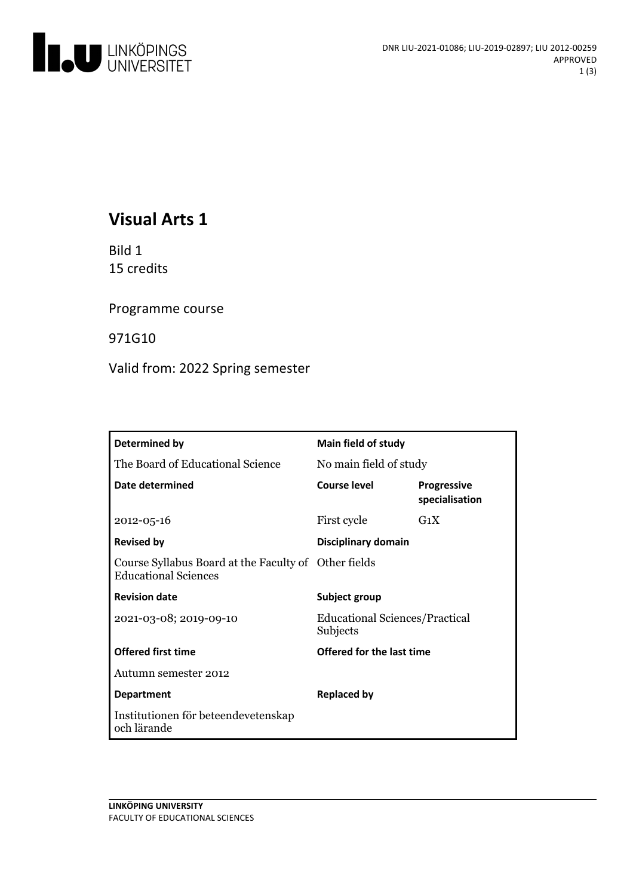

# **Visual Arts 1**

Bild 1 15 credits

Programme course

971G10

Valid from: 2022 Spring semester

| Determined by                                                                       | Main field of study                               |                                      |
|-------------------------------------------------------------------------------------|---------------------------------------------------|--------------------------------------|
| The Board of Educational Science                                                    | No main field of study                            |                                      |
| Date determined                                                                     | Course level                                      | <b>Progressive</b><br>specialisation |
| $2012 - 05 - 16$                                                                    | First cycle                                       | $G_1X$                               |
| <b>Revised by</b>                                                                   | Disciplinary domain                               |                                      |
| Course Syllabus Board at the Faculty of Other fields<br><b>Educational Sciences</b> |                                                   |                                      |
| <b>Revision date</b>                                                                | Subject group                                     |                                      |
| 2021-03-08; 2019-09-10                                                              | <b>Educational Sciences/Practical</b><br>Subjects |                                      |
| <b>Offered first time</b>                                                           | <b>Offered for the last time</b>                  |                                      |
| Autumn semester 2012                                                                |                                                   |                                      |
| <b>Department</b>                                                                   | <b>Replaced by</b>                                |                                      |
| Institutionen för beteendevetenskap<br>och lärande                                  |                                                   |                                      |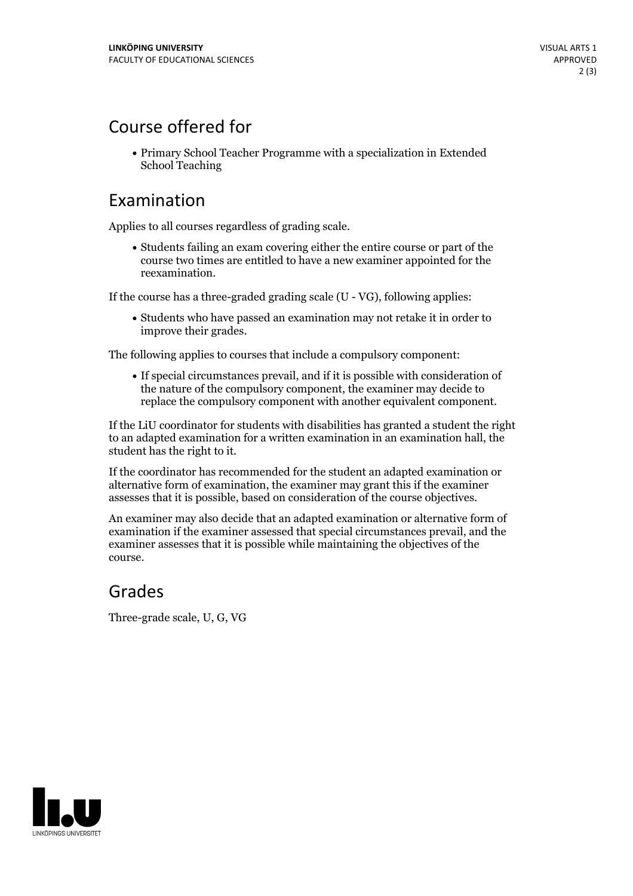# Course offered for

Primary School Teacher Programme with a specialization in Extended School Teaching

### Examination

Applies to all courses regardless of grading scale.

Students failing an exam covering either the entire course or part of the course two times are entitled to have a new examiner appointed for the reexamination.

If the course has a three-graded grading scale (U - VG), following applies:

Students who have passed an examination may not retake it in order to improve their grades.

The following applies to courses that include a compulsory component:

If special circumstances prevail, and if it is possible with consideration of the nature of the compulsory component, the examiner may decide to replace the compulsory component with another equivalent component.

If the LiU coordinator for students with disabilities has granted a student the right to an adapted examination for a written examination in an examination hall, the student has the right to it.

If the coordinator has recommended for the student an adapted examination or alternative form of examination, the examiner may grant this if the examiner assesses that it is possible, based on consideration of the course objectives.

An examiner may also decide that an adapted examination or alternative form of examination if the examiner assessed that special circumstances prevail, and the examiner assesses that it is possible while maintaining the objectives of the course.

#### Grades

Three-grade scale, U, G, VG